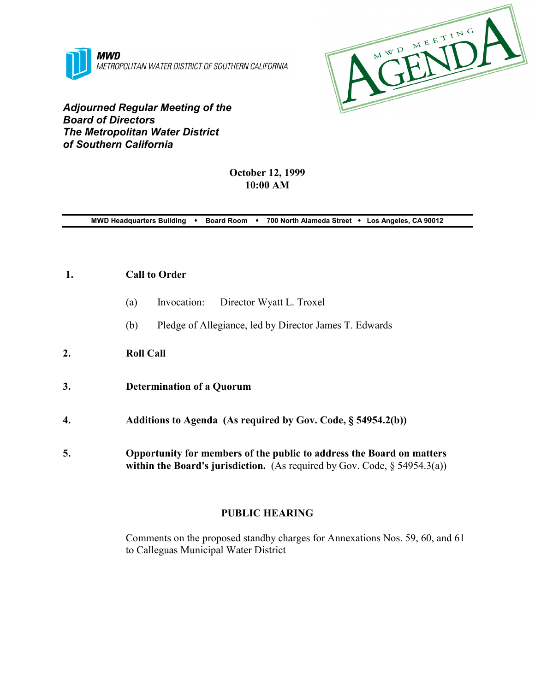



*Adjourned Regular Meeting of the Board of Directors The Metropolitan Water District of Southern California*

# **October 12, 1999 10:00 AM**

**MWD Headquarters Building** ! **Board Room** ! **700 North Alameda Street** ! **Los Angeles, CA 90012**

## **1. Call to Order**

- (a) Invocation: Director Wyatt L. Troxel
- (b) Pledge of Allegiance, led by Director James T. Edwards
- **2. Roll Call**
- **3. Determination of a Quorum**
- **4. Additions to Agenda (As required by Gov. Code, § 54954.2(b))**
- **5. Opportunity for members of the public to address the Board on matters within the Board's jurisdiction.** (As required by Gov. Code, § 54954.3(a))

# **PUBLIC HEARING**

Comments on the proposed standby charges for Annexations Nos. 59, 60, and 61 to Calleguas Municipal Water District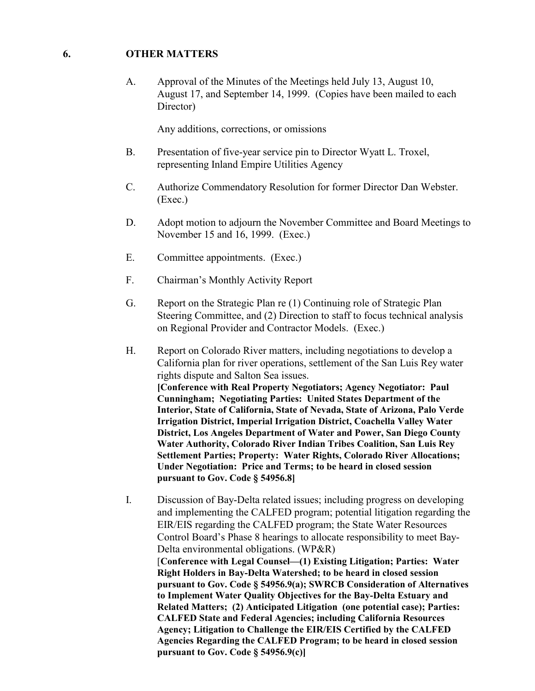## **6. OTHER MATTERS**

A. Approval of the Minutes of the Meetings held July 13, August 10, August 17, and September 14, 1999. (Copies have been mailed to each Director)

Any additions, corrections, or omissions

- B. Presentation of five-year service pin to Director Wyatt L. Troxel, representing Inland Empire Utilities Agency
- C. Authorize Commendatory Resolution for former Director Dan Webster. (Exec.)
- D. Adopt motion to adjourn the November Committee and Board Meetings to November 15 and 16, 1999. (Exec.)
- E. Committee appointments. (Exec.)
- F. Chairman's Monthly Activity Report
- G. Report on the Strategic Plan re (1) Continuing role of Strategic Plan Steering Committee, and (2) Direction to staff to focus technical analysis on Regional Provider and Contractor Models. (Exec.)
- H. Report on Colorado River matters, including negotiations to develop a California plan for river operations, settlement of the San Luis Rey water rights dispute and Salton Sea issues. **[Conference with Real Property Negotiators; Agency Negotiator: Paul Cunningham; Negotiating Parties: United States Department of the Interior, State of California, State of Nevada, State of Arizona, Palo Verde Irrigation District, Imperial Irrigation District, Coachella Valley Water District, Los Angeles Department of Water and Power, San Diego County Water Authority, Colorado River Indian Tribes Coalition, San Luis Rey Settlement Parties; Property: Water Rights, Colorado River Allocations; Under Negotiation: Price and Terms; to be heard in closed session pursuant to Gov. Code § 54956.8]**
- I. Discussion of Bay-Delta related issues; including progress on developing and implementing the CALFED program; potential litigation regarding the EIR/EIS regarding the CALFED program; the State Water Resources Control Board's Phase 8 hearings to allocate responsibility to meet Bay-Delta environmental obligations. (WP&R) [**Conference with Legal Counsel—(1) Existing Litigation; Parties: Water Right Holders in Bay-Delta Watershed; to be heard in closed session pursuant to Gov. Code § 54956.9(a); SWRCB Consideration of Alternatives to Implement Water Quality Objectives for the Bay-Delta Estuary and Related Matters; (2) Anticipated Litigation (one potential case); Parties: CALFED State and Federal Agencies; including California Resources Agency; Litigation to Challenge the EIR/EIS Certified by the CALFED Agencies Regarding the CALFED Program; to be heard in closed session pursuant to Gov. Code § 54956.9(c)]**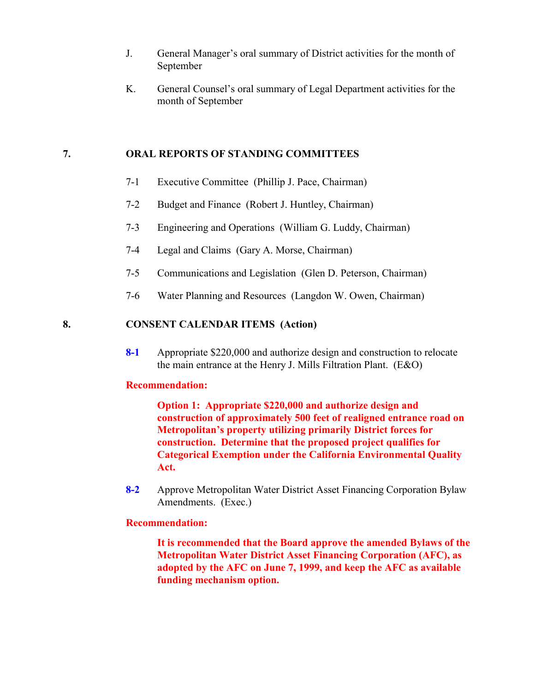- J. General Manager's oral summary of District activities for the month of September
- K. General Counsel's oral summary of Legal Department activities for the month of September

## **7. ORAL REPORTS OF STANDING COMMITTEES**

- 7-1 Executive Committee (Phillip J. Pace, Chairman)
- 7-2 Budget and Finance (Robert J. Huntley, Chairman)
- 7-3 Engineering and Operations (William G. Luddy, Chairman)
- 7-4 Legal and Claims (Gary A. Morse, Chairman)
- 7-5 Communications and Legislation (Glen D. Peterson, Chairman)
- 7-6 Water Planning and Resources (Langdon W. Owen, Chairman)

## **8. CONSENT CALENDAR ITEMS (Action)**

**8-1** Appropriate \$220,000 and authorize design and construction to relocate the main entrance at the Henry J. Mills Filtration Plant. (E&O)

### **Recommendation:**

**Option 1: Appropriate \$220,000 and authorize design and construction of approximately 500 feet of realigned entrance road on Metropolitan's property utilizing primarily District forces for construction. Determine that the proposed project qualifies for Categorical Exemption under the California Environmental Quality Act.**

**8-2** Approve Metropolitan Water District Asset Financing Corporation Bylaw Amendments. (Exec.)

### **Recommendation:**

**It is recommended that the Board approve the amended Bylaws of the Metropolitan Water District Asset Financing Corporation (AFC), as adopted by the AFC on June 7, 1999, and keep the AFC as available funding mechanism option.**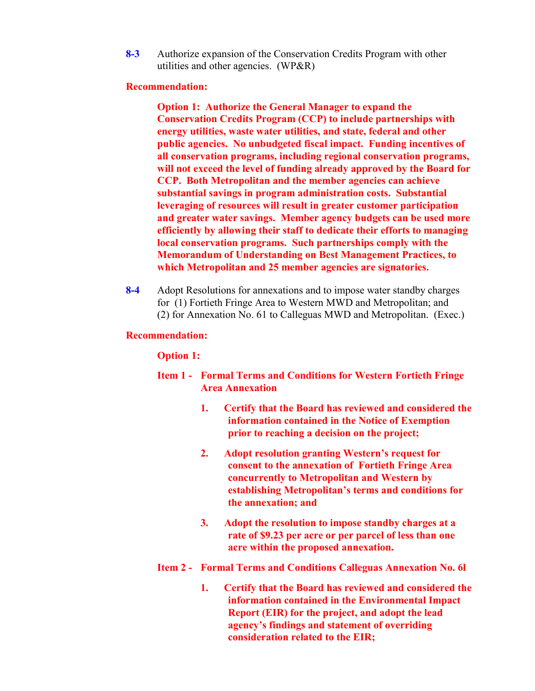**8-3** Authorize expansion of the Conservation Credits Program with other utilities and other agencies. (WP&R)

#### **Recommendation:**

**Option 1: Authorize the General Manager to expand the Conservation Credits Program (CCP) to include partnerships with energy utilities, waste water utilities, and state, federal and other public agencies. No unbudgeted fiscal impact. Funding incentives of all conservation programs, including regional conservation programs, will not exceed the level of funding already approved by the Board for CCP. Both Metropolitan and the member agencies can achieve substantial savings in program administration costs. Substantial leveraging of resources will result in greater customer participation and greater water savings. Member agency budgets can be used more efficiently by allowing their staff to dedicate their efforts to managing local conservation programs. Such partnerships comply with the Memorandum of Understanding on Best Management Practices, to which Metropolitan and 25 member agencies are signatories.**

**8-4** Adopt Resolutions for annexations and to impose water standby charges for (1) Fortieth Fringe Area to Western MWD and Metropolitan; and (2) for Annexation No. 61 to Calleguas MWD and Metropolitan. (Exec.)

#### **Recommendation:**

### **Option 1:**

- **Item 1 Formal Terms and Conditions for Western Fortieth Fringe Area Annexation**
	- **1. Certify that the Board has reviewed and considered the information contained in the Notice of Exemption prior to reaching a decision on the project;**
	- **2. Adopt resolution granting Western's request for consent to the annexation of Fortieth Fringe Area concurrently to Metropolitan and Western by establishing Metropolitan's terms and conditions for the annexation; and**
	- **3. Adopt the resolution to impose standby charges at a rate of \$9.23 per acre or per parcel of less than one acre within the proposed annexation.**
- **Item 2 Formal Terms and Conditions Calleguas Annexation No. 6l**
	- **1. Certify that the Board has reviewed and considered the information contained in the Environmental Impact Report (EIR) for the project, and adopt the lead agency's findings and statement of overriding consideration related to the EIR;**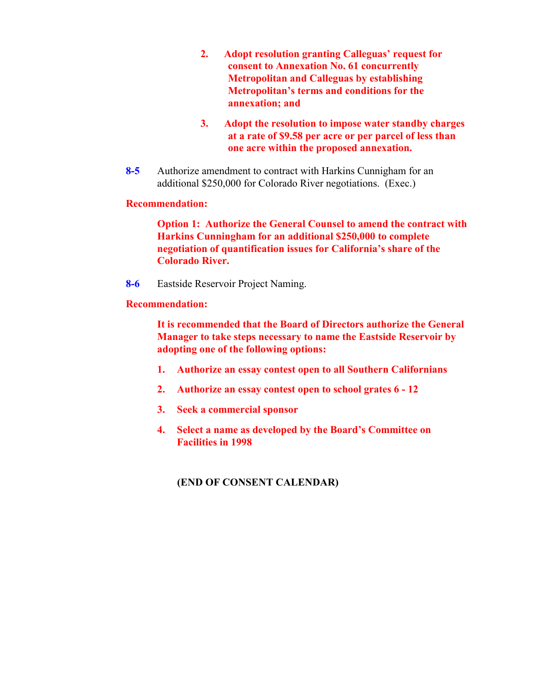- **2. Adopt resolution granting Calleguas' request for consent to Annexation No. 61 concurrently Metropolitan and Calleguas by establishing Metropolitan's terms and conditions for the annexation; and**
- **3. Adopt the resolution to impose water standby charges at a rate of \$9.58 per acre or per parcel of less than one acre within the proposed annexation.**
- **8-5** Authorize amendment to contract with Harkins Cunnigham for an additional \$250,000 for Colorado River negotiations. (Exec.)

## **Recommendation:**

**Option 1: Authorize the General Counsel to amend the contract with Harkins Cunningham for an additional \$250,000 to complete negotiation of quantification issues for California's share of the Colorado River.**

**8-6** Eastside Reservoir Project Naming.

# **Recommendation:**

**It is recommended that the Board of Directors authorize the General Manager to take steps necessary to name the Eastside Reservoir by adopting one of the following options:**

- **1. Authorize an essay contest open to all Southern Californians**
- **2. Authorize an essay contest open to school grates 6 12**
- **3. Seek a commercial sponsor**
- **4. Select a name as developed by the Board's Committee on Facilities in 1998**

# **(END OF CONSENT CALENDAR)**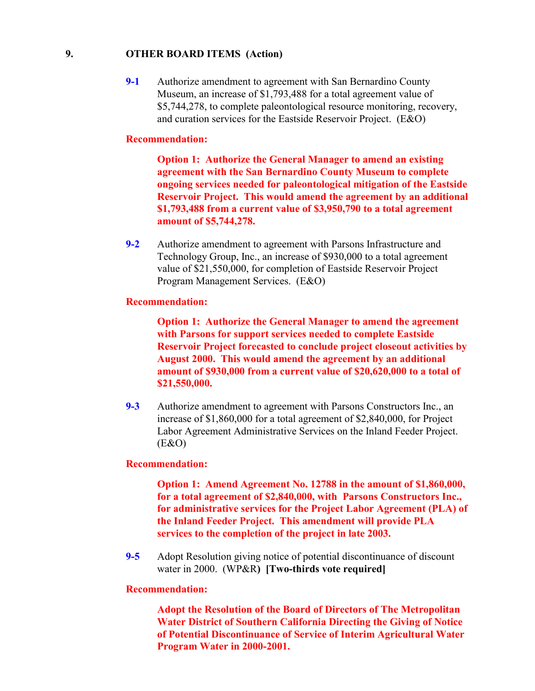## **9. OTHER BOARD ITEMS (Action)**

**9-1** Authorize amendment to agreement with San Bernardino County Museum, an increase of \$1,793,488 for a total agreement value of \$5,744,278, to complete paleontological resource monitoring, recovery, and curation services for the Eastside Reservoir Project. (E&O)

## **Recommendation:**

**Option 1: Authorize the General Manager to amend an existing agreement with the San Bernardino County Museum to complete ongoing services needed for paleontological mitigation of the Eastside Reservoir Project. This would amend the agreement by an additional \$1,793,488 from a current value of \$3,950,790 to a total agreement amount of \$5,744,278.**

**9-2** Authorize amendment to agreement with Parsons Infrastructure and Technology Group, Inc., an increase of \$930,000 to a total agreement value of \$21,550,000, for completion of Eastside Reservoir Project Program Management Services. (E&O)

#### **Recommendation:**

**Option 1: Authorize the General Manager to amend the agreement with Parsons for support services needed to complete Eastside Reservoir Project forecasted to conclude project closeout activities by August 2000. This would amend the agreement by an additional amount of \$930,000 from a current value of \$20,620,000 to a total of \$21,550,000.**

**9-3** Authorize amendment to agreement with Parsons Constructors Inc., an increase of \$1,860,000 for a total agreement of \$2,840,000, for Project Labor Agreement Administrative Services on the Inland Feeder Project.  $(E&O)$ 

#### **Recommendation:**

**Option 1: Amend Agreement No. 12788 in the amount of \$1,860,000, for a total agreement of \$2,840,000, with Parsons Constructors Inc., for administrative services for the Project Labor Agreement (PLA) of the Inland Feeder Project. This amendment will provide PLA services to the completion of the project in late 2003.**

**9-5** Adopt Resolution giving notice of potential discontinuance of discount water in 2000. (WP&R**) [Two-thirds vote required]**

#### **Recommendation:**

**Adopt the Resolution of the Board of Directors of The Metropolitan Water District of Southern California Directing the Giving of Notice of Potential Discontinuance of Service of Interim Agricultural Water Program Water in 2000-2001.**